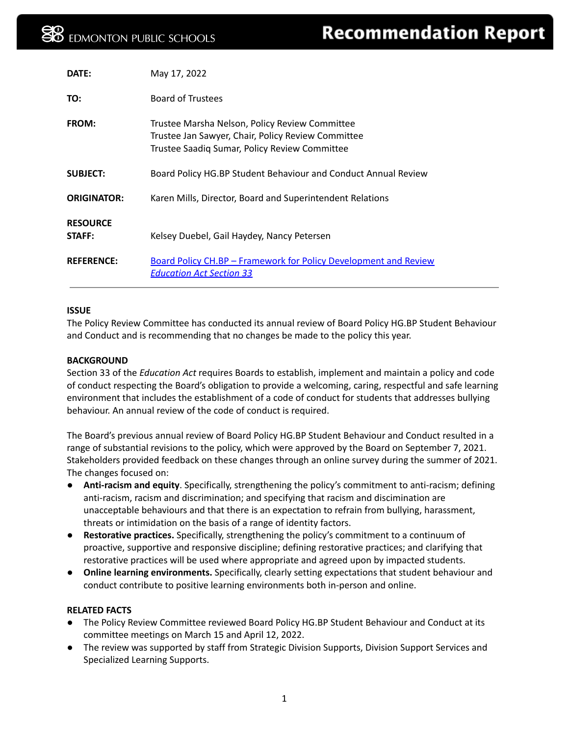| DATE:                     | May 17, 2022                                                                                                                                          |
|---------------------------|-------------------------------------------------------------------------------------------------------------------------------------------------------|
| TO:                       | <b>Board of Trustees</b>                                                                                                                              |
| <b>FROM:</b>              | Trustee Marsha Nelson, Policy Review Committee<br>Trustee Jan Sawyer, Chair, Policy Review Committee<br>Trustee Saadiq Sumar, Policy Review Committee |
| <b>SUBJECT:</b>           | Board Policy HG.BP Student Behaviour and Conduct Annual Review                                                                                        |
| <b>ORIGINATOR:</b>        | Karen Mills, Director, Board and Superintendent Relations                                                                                             |
| <b>RESOURCE</b><br>STAFF: | Kelsey Duebel, Gail Haydey, Nancy Petersen                                                                                                            |
| <b>REFERENCE:</b>         | <b>Board Policy CH.BP - Framework for Policy Development and Review</b><br><u> Education Act Section 33</u>                                           |

#### **ISSUE**

The Policy Review Committee has conducted its annual review of Board Policy HG.BP Student Behaviour and Conduct and is recommending that no changes be made to the policy this year.

#### **BACKGROUND**

Section 33 of the *Education Act* requires Boards to establish, implement and maintain a policy and code of conduct respecting the Board's obligation to provide a welcoming, caring, respectful and safe learning environment that includes the establishment of a code of conduct for students that addresses bullying behaviour. An annual review of the code of conduct is required.

The Board's previous annual review of Board Policy HG.BP Student Behaviour and Conduct resulted in a range of substantial revisions to the policy, which were approved by the Board on September 7, 2021. Stakeholders provided feedback on these changes through an online survey during the summer of 2021. The changes focused on:

- **Anti-racism and equity**. Specifically, strengthening the policy's commitment to anti-racism; defining anti-racism, racism and discrimination; and specifying that racism and discimination are unacceptable behaviours and that there is an expectation to refrain from bullying, harassment, threats or intimidation on the basis of a range of identity factors.
- **Restorative practices.** Specifically, strengthening the policy's commitment to a continuum of proactive, supportive and responsive discipline; defining restorative practices; and clarifying that restorative practices will be used where appropriate and agreed upon by impacted students.
- **● Online learning environments.** Specifically, clearly setting expectations that student behaviour and conduct contribute to positive learning environments both in-person and online.

#### **RELATED FACTS**

- The Policy Review Committee reviewed Board Policy HG.BP Student Behaviour and Conduct at its committee meetings on March 15 and April 12, 2022.
- The review was supported by staff from Strategic Division Supports, Division Support Services and Specialized Learning Supports.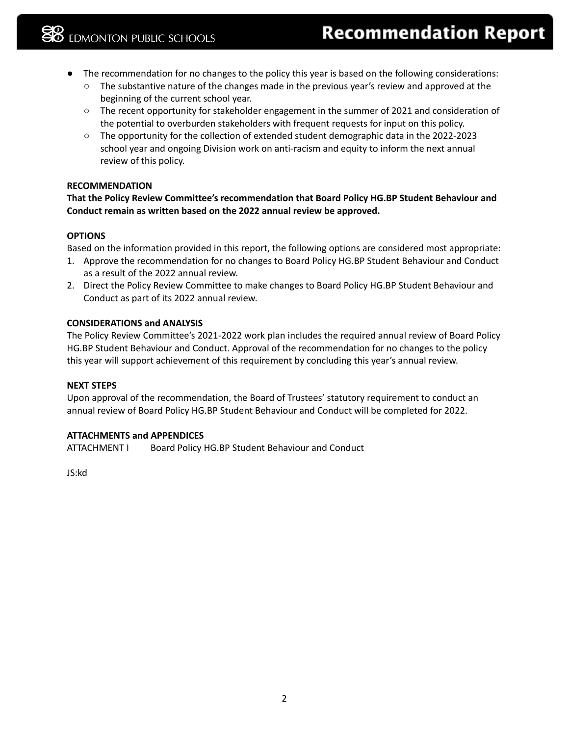- The recommendation for no changes to the policy this year is based on the following considerations:
	- The substantive nature of the changes made in the previous year's review and approved at the beginning of the current school year.
	- The recent opportunity for stakeholder engagement in the summer of 2021 and consideration of the potential to overburden stakeholders with frequent requests for input on this policy.
	- The opportunity for the collection of extended student demographic data in the 2022-2023 school year and ongoing Division work on anti-racism and equity to inform the next annual review of this policy.

## **RECOMMENDATION**

**That the Policy Review Committee's recommendation that Board Policy HG.BP Student Behaviour and Conduct remain as written based on the 2022 annual review be approved.**

## **OPTIONS**

Based on the information provided in this report, the following options are considered most appropriate:

- 1. Approve the recommendation for no changes to Board Policy HG.BP Student Behaviour and Conduct as a result of the 2022 annual review.
- 2. Direct the Policy Review Committee to make changes to Board Policy HG.BP Student Behaviour and Conduct as part of its 2022 annual review.

## **CONSIDERATIONS and ANALYSIS**

The Policy Review Committee's 2021-2022 work plan includes the required annual review of Board Policy HG.BP Student Behaviour and Conduct. Approval of the recommendation for no changes to the policy this year will support achievement of this requirement by concluding this year's annual review.

#### **NEXT STEPS**

Upon approval of the recommendation, the Board of Trustees' statutory requirement to conduct an annual review of Board Policy HG.BP Student Behaviour and Conduct will be completed for 2022.

## **ATTACHMENTS and APPENDICES**

ATTACHMENT I Board Policy HG.BP Student Behaviour and Conduct

JS:kd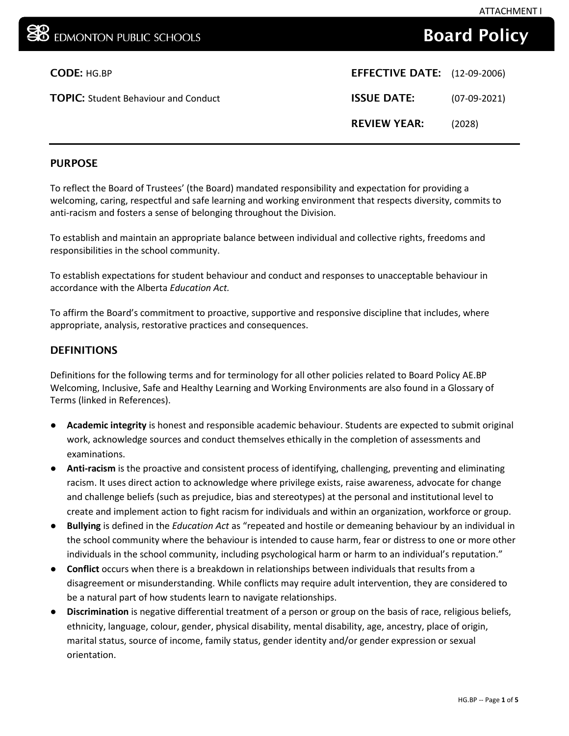# Board Policy

| <b>CODE: HG.BP</b>                          | <b>EFFECTIVE DATE:</b> (12-09-2006) |                |
|---------------------------------------------|-------------------------------------|----------------|
| <b>TOPIC:</b> Student Behaviour and Conduct | <b>ISSUE DATE:</b>                  | $(07-09-2021)$ |
|                                             | <b>REVIEW YEAR:</b>                 | (2028)         |

# PURPOSE

To reflect the Board of Trustees' (the Board) mandated responsibility and expectation for providing a welcoming, caring, respectful and safe learning and working environment that respects diversity, commits to anti-racism and fosters a sense of belonging throughout the Division.

To establish and maintain an appropriate balance between individual and collective rights, freedoms and responsibilities in the school community.

To establish expectations for student behaviour and conduct and responses to unacceptable behaviour in accordance with the Alberta *Education Act.*

To affirm the Board's commitment to proactive, supportive and responsive discipline that includes, where appropriate, analysis, restorative practices and consequences.

## DEFINITIONS

Definitions for the following terms and for terminology for all other policies related to Board Policy AE.BP Welcoming, Inclusive, Safe and Healthy Learning and Working Environments are also found in a Glossary of Terms (linked in References).

- **Academic integrity** is honest and responsible academic behaviour. Students are expected to submit original work, acknowledge sources and conduct themselves ethically in the completion of assessments and examinations.
- **Anti-racism** is the proactive and consistent process of identifying, challenging, preventing and eliminating racism. It uses direct action to acknowledge where privilege exists, raise awareness, advocate for change and challenge beliefs (such as prejudice, bias and stereotypes) at the personal and institutional level to create and implement action to fight racism for individuals and within an organization, workforce or group.
- **Bullying** is defined in the *Education Act* as "repeated and hostile or demeaning behaviour by an individual in the school community where the behaviour is intended to cause harm, fear or distress to one or more other individuals in the school community, including psychological harm or harm to an individual's reputation."
- **Conflict** occurs when there is a breakdown in relationships between individuals that results from a disagreement or misunderstanding. While conflicts may require adult intervention, they are considered to be a natural part of how students learn to navigate relationships.
- **Discrimination** is negative differential treatment of a person or group on the basis of race, religious beliefs, ethnicity, language, colour, gender, physical disability, mental disability, age, ancestry, place of origin, marital status, source of income, family status, gender identity and/or gender expression or sexual orientation.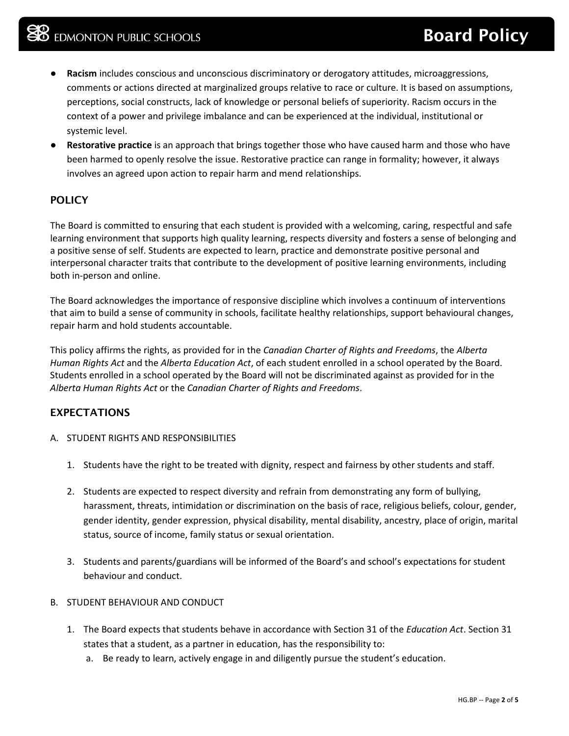- **Racism** includes conscious and unconscious discriminatory or derogatory attitudes, microaggressions, comments or actions directed at marginalized groups relative to race or culture. It is based on assumptions, perceptions, social constructs, lack of knowledge or personal beliefs of superiority. Racism occurs in the context of a power and privilege imbalance and can be experienced at the individual, institutional or systemic level.
- **Restorative practice** is an approach that brings together those who have caused harm and those who have been harmed to openly resolve the issue. Restorative practice can range in formality; however, it always involves an agreed upon action to repair harm and mend relationships.

# **POLICY**

The Board is committed to ensuring that each student is provided with a welcoming, caring, respectful and safe learning environment that supports high quality learning, respects diversity and fosters a sense of belonging and a positive sense of self. Students are expected to learn, practice and demonstrate positive personal and interpersonal character traits that contribute to the development of positive learning environments, including both in-person and online.

The Board acknowledges the importance of responsive discipline which involves a continuum of interventions that aim to build a sense of community in schools, facilitate healthy relationships, support behavioural changes, repair harm and hold students accountable.

This policy affirms the rights, as provided for in the *Canadian Charter of Rights and Freedoms*, the *Alberta Human Rights Act* and the *Alberta Education Act*, of each student enrolled in a school operated by the Board. Students enrolled in a school operated by the Board will not be discriminated against as provided for in the *Alberta Human Rights Act* or the *Canadian Charter of Rights and Freedoms*.

## EXPECTATIONS

- A. STUDENT RIGHTS AND RESPONSIBILITIES
	- 1. Students have the right to be treated with dignity, respect and fairness by other students and staff.
	- 2. Students are expected to respect diversity and refrain from demonstrating any form of bullying, harassment, threats, intimidation or discrimination on the basis of race, religious beliefs, colour, gender, gender identity, gender expression, physical disability, mental disability, ancestry, place of origin, marital status, source of income, family status or sexual orientation.
	- 3. Students and parents/guardians will be informed of the Board's and school's expectations for student behaviour and conduct.

#### B. STUDENT BEHAVIOUR AND CONDUCT

- 1. The Board expects that students behave in accordance with Section 31 of the *Education Act*. Section 31 states that a student, as a partner in education, has the responsibility to:
	- a. Be ready to learn, actively engage in and diligently pursue the student's education.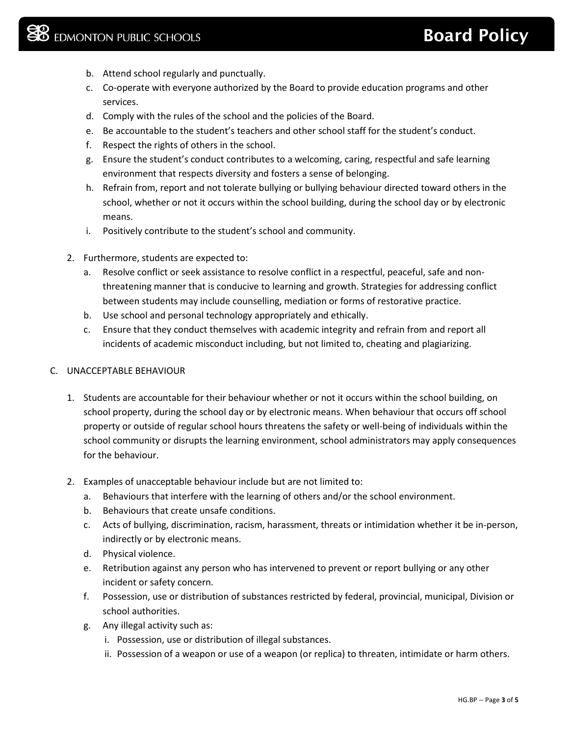- b. Attend school regularly and punctually.
- c. Co-operate with everyone authorized by the Board to provide education programs and other services.
- d. Comply with the rules of the school and the policies of the Board.
- e. Be accountable to the student's teachers and other school staff for the student's conduct.
- f. Respect the rights of others in the school.
- g. Ensure the student's conduct contributes to a welcoming, caring, respectful and safe learning environment that respects diversity and fosters a sense of belonging.
- h. Refrain from, report and not tolerate bullying or bullying behaviour directed toward others in the school, whether or not it occurs within the school building, during the school day or by electronic means.
- i. Positively contribute to the student's school and community.
- 2. Furthermore, students are expected to:
	- a. Resolve conflict or seek assistance to resolve conflict in a respectful, peaceful, safe and nonthreatening manner that is conducive to learning and growth. Strategies for addressing conflict between students may include counselling, mediation or forms of restorative practice.
	- b. Use school and personal technology appropriately and ethically.
	- c. Ensure that they conduct themselves with academic integrity and refrain from and report all incidents of academic misconduct including, but not limited to, cheating and plagiarizing.

#### C. UNACCEPTABLE BEHAVIOUR

- 1. Students are accountable for their behaviour whether or not it occurs within the school building, on school property, during the school day or by electronic means. When behaviour that occurs off school property or outside of regular school hours threatens the safety or well-being of individuals within the school community or disrupts the learning environment, school administrators may apply consequences for the behaviour.
- 2. Examples of unacceptable behaviour include but are not limited to:
	- a. Behaviours that interfere with the learning of others and/or the school environment.
	- b. Behaviours that create unsafe conditions.
	- c. Acts of bullying, discrimination, racism, harassment, threats or intimidation whether it be in-person, indirectly or by electronic means.
	- d. Physical violence.
	- e. Retribution against any person who has intervened to prevent or report bullying or any other incident or safety concern.
	- f. Possession, use or distribution of substances restricted by federal, provincial, municipal, Division or school authorities.
	- g. Any illegal activity such as:
		- i. Possession, use or distribution of illegal substances.
		- ii. Possession of a weapon or use of a weapon (or replica) to threaten, intimidate or harm others.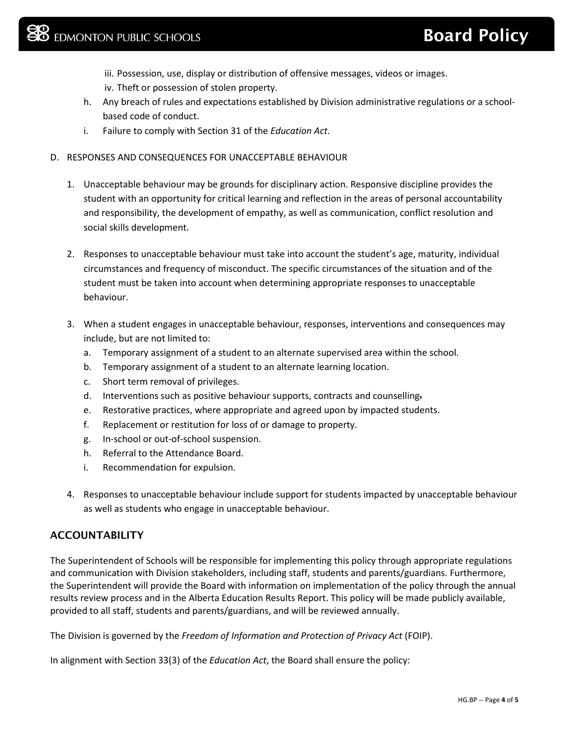- iii. Possession, use, display or distribution of offensive messages, videos or images.
- iv. Theft or possession of stolen property.
- h. Any breach of rules and expectations established by Division administrative regulations or a schoolbased code of conduct.
- i. Failure to comply with Section 31 of the *Education Act*.
- D. RESPONSES AND CONSEQUENCES FOR UNACCEPTABLE BEHAVIOUR
	- 1. Unacceptable behaviour may be grounds for disciplinary action. Responsive discipline provides the student with an opportunity for critical learning and reflection in the areas of personal accountability and responsibility, the development of empathy, as well as communication, conflict resolution and social skills development.
	- 2. Responses to unacceptable behaviour must take into account the student's age, maturity, individual circumstances and frequency of misconduct. The specific circumstances of the situation and of the student must be taken into account when determining appropriate responses to unacceptable behaviour.
	- 3. When a student engages in unacceptable behaviour, responses, interventions and consequences may include, but are not limited to:
		- a. Temporary assignment of a student to an alternate supervised area within the school.
		- b. Temporary assignment of a student to an alternate learning location.
		- c. Short term removal of privileges.
		- d. Interventions such as positive behaviour supports, contracts and counselling-
		- e. Restorative practices, where appropriate and agreed upon by impacted students.
		- f. Replacement or restitution for loss of or damage to property.
		- g. In-school or out-of-school suspension.
		- h. Referral to the Attendance Board.
		- i. Recommendation for expulsion.
	- 4. Responses to unacceptable behaviour include support for students impacted by unacceptable behaviour as well as students who engage in unacceptable behaviour.

# **ACCOUNTABILITY**

The Superintendent of Schools will be responsible for implementing this policy through appropriate regulations and communication with Division stakeholders, including staff, students and parents/guardians. Furthermore, the Superintendent will provide the Board with information on implementation of the policy through the annual results review process and in the Alberta Education Results Report. This policy will be made publicly available, provided to all staff, students and parents/guardians, and will be reviewed annually.

The Division is governed by the *Freedom of Information and Protection of Privacy Act* (FOIP).

In alignment with Section 33(3) of the *Education Act*, the Board shall ensure the policy: